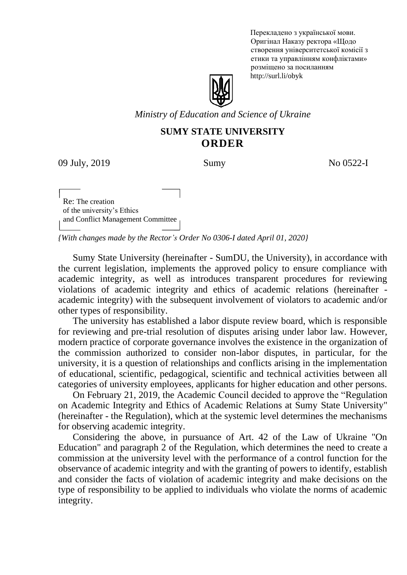Перекладено з української мови. Оригінал Наказу ректора «Щодо створення університетської комісії з етики та управлінням конфліктами» розміщено за посиланням http://surl.li/obyk



*Ministry of Education and Science of Ukraine*

## **SUMY STATE UNIVERSITY ORDER**

09 July, 2019 Sumy Sumy No 0522-I

 $\overline{\phantom{a}}$ Re: The creation of the university's Ethics and Conflict Management Committee

*{With changes made by the Rector's Order No 0306-I dated April 01, 2020}*

Sumy State University (hereinafter - SumDU, the University), in accordance with the current legislation, implements the approved policy to ensure compliance with academic integrity, as well as introduces transparent procedures for reviewing violations of academic integrity and ethics of academic relations (hereinafter academic integrity) with the subsequent involvement of violators to academic and/or other types of responsibility.

The university has established a labor dispute review board, which is responsible for reviewing and pre-trial resolution of disputes arising under labor law. However, modern practice of corporate governance involves the existence in the organization of the commission authorized to consider non-labor disputes, in particular, for the university, it is a question of relationships and conflicts arising in the implementation of educational, scientific, pedagogical, scientific and technical activities between all categories of university employees, applicants for higher education and other persons.

On February 21, 2019, the Academic Council decided to approve the "Regulation on Academic Integrity and Ethics of Academic Relations at Sumy State University" (hereinafter - the Regulation), which at the systemic level determines the mechanisms for observing academic integrity.

Considering the above, in pursuance of Art. 42 of the Law of Ukraine "On Education" and paragraph 2 of the Regulation, which determines the need to create a commission at the university level with the performance of a control function for the observance of academic integrity and with the granting of powers to identify, establish and consider the facts of violation of academic integrity and make decisions on the type of responsibility to be applied to individuals who violate the norms of academic integrity.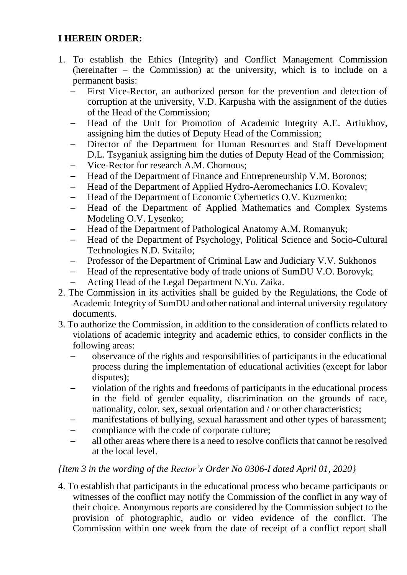## **I HEREIN ORDER:**

- 1. To establish the Ethics (Integrity) and Conflict Management Commission (hereinafter – the Commission) at the university, which is to include on a permanent basis:
	- First Vice-Rector, an authorized person for the prevention and detection of corruption at the university, V.D. Karpusha with the assignment of the duties of the Head of the Commission;
	- Head of the Unit for Promotion of Academic Integrity A.E. Artiukhov, assigning him the duties of Deputy Head of the Commission;
	- Director of the Department for Human Resources and Staff Development D.L. Tsyganiuk assigning him the duties of Deputy Head of the Commission;
	- Vice-Rector for research A.M. Chornous;
	- Head of the Department of Finance and Entrepreneurship V.M. Boronos;
	- Head of the Department of Applied Hydro-Aeromechanics I.O. Kovalev;
	- Head of the Department of Economic Cybernetics O.V. Kuzmenko;
	- Head of the Department of Applied Mathematics and Complex Systems Modeling O.V. Lysenko;
	- Head of the Department of Pathological Anatomy A.M. Romanyuk;
	- Head of the Department of Psychology, Political Science and Socio-Сultural Technologies N.D. Svitailo;
	- Professor of the Department of Criminal Law and Judiciary V.V. Sukhonos
	- Head of the representative body of trade unions of SumDU V.O. Borovyk;
	- Acting Head of the Legal Department N.Yu. Zaika.
- 2. The Commission in its activities shall be guided by the Regulations, the Code of Academic Integrity of SumDU and other national and internal university regulatory documents.
- 3. To authorize the Commission, in addition to the consideration of conflicts related to violations of academic integrity and academic ethics, to consider conflicts in the following areas:
	- observance of the rights and responsibilities of participants in the educational process during the implementation of educational activities (except for labor disputes);
	- violation of the rights and freedoms of participants in the educational process in the field of gender equality, discrimination on the grounds of race, nationality, color, sex, sexual orientation and / or other characteristics;
	- manifestations of bullying, sexual harassment and other types of harassment;
	- compliance with the code of corporate culture;
	- all other areas where there is a need to resolve conflicts that cannot be resolved at the local level.

## *{Item 3 in the wording of the Rector's Order No 0306-I dated April 01, 2020}*

4. To establish that participants in the educational process who became participants or witnesses of the conflict may notify the Commission of the conflict in any way of their choice. Anonymous reports are considered by the Commission subject to the provision of photographic, audio or video evidence of the conflict. The Commission within one week from the date of receipt of a conflict report shall